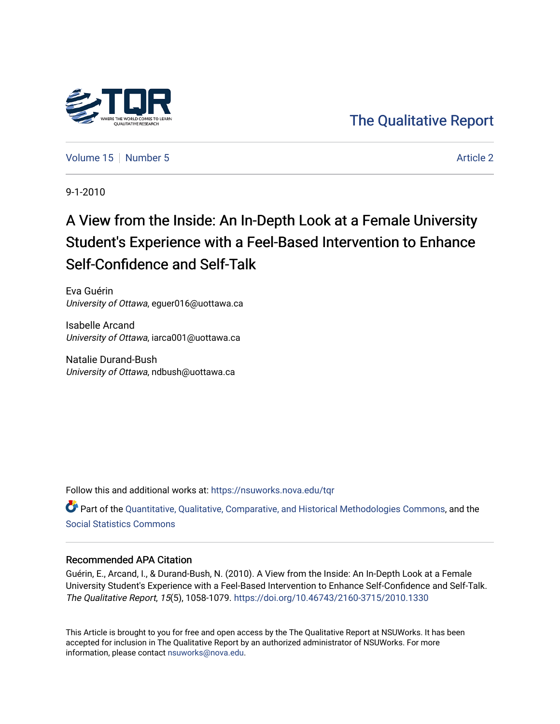

# [The Qualitative Report](https://nsuworks.nova.edu/tqr)

[Volume 15](https://nsuworks.nova.edu/tqr/vol15) [Number 5](https://nsuworks.nova.edu/tqr/vol15/iss5) Article 2

9-1-2010

# A View from the Inside: An In-Depth Look at a Female University Student's Experience with a Feel-Based Intervention to Enhance Self-Confidence and Self-Talk

Eva Guérin University of Ottawa, eguer016@uottawa.ca

Isabelle Arcand University of Ottawa, iarca001@uottawa.ca

Natalie Durand-Bush University of Ottawa, ndbush@uottawa.ca

Follow this and additional works at: [https://nsuworks.nova.edu/tqr](https://nsuworks.nova.edu/tqr?utm_source=nsuworks.nova.edu%2Ftqr%2Fvol15%2Fiss5%2F2&utm_medium=PDF&utm_campaign=PDFCoverPages) 

Part of the [Quantitative, Qualitative, Comparative, and Historical Methodologies Commons,](http://network.bepress.com/hgg/discipline/423?utm_source=nsuworks.nova.edu%2Ftqr%2Fvol15%2Fiss5%2F2&utm_medium=PDF&utm_campaign=PDFCoverPages) and the [Social Statistics Commons](http://network.bepress.com/hgg/discipline/1275?utm_source=nsuworks.nova.edu%2Ftqr%2Fvol15%2Fiss5%2F2&utm_medium=PDF&utm_campaign=PDFCoverPages) 

#### Recommended APA Citation

Guérin, E., Arcand, I., & Durand-Bush, N. (2010). A View from the Inside: An In-Depth Look at a Female University Student's Experience with a Feel-Based Intervention to Enhance Self-Confidence and Self-Talk. The Qualitative Report, 15(5), 1058-1079. <https://doi.org/10.46743/2160-3715/2010.1330>

This Article is brought to you for free and open access by the The Qualitative Report at NSUWorks. It has been accepted for inclusion in The Qualitative Report by an authorized administrator of NSUWorks. For more information, please contact [nsuworks@nova.edu.](mailto:nsuworks@nova.edu)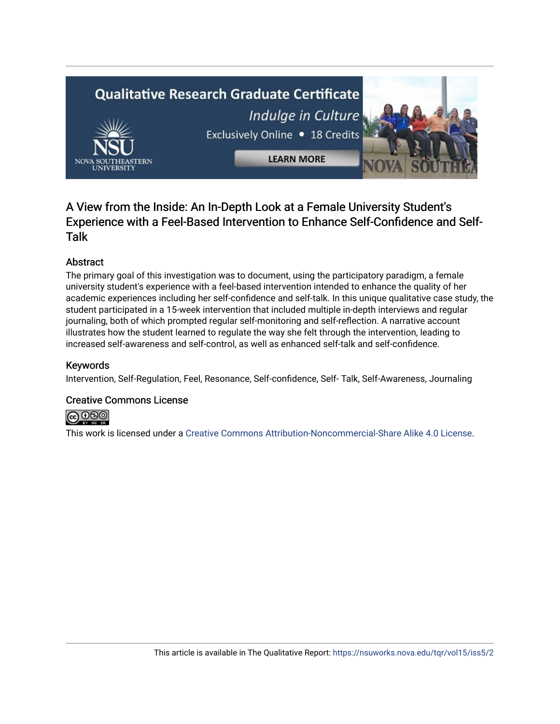# **Qualitative Research Graduate Certificate** Indulge in Culture Exclusively Online . 18 Credits **LEARN MORE**

## A View from the Inside: An In-Depth Look at a Female University Student's Experience with a Feel-Based Intervention to Enhance Self-Confidence and Self-Talk

### Abstract

The primary goal of this investigation was to document, using the participatory paradigm, a female university student's experience with a feel-based intervention intended to enhance the quality of her academic experiences including her self-confidence and self-talk. In this unique qualitative case study, the student participated in a 15-week intervention that included multiple in-depth interviews and regular journaling, both of which prompted regular self-monitoring and self-reflection. A narrative account illustrates how the student learned to regulate the way she felt through the intervention, leading to increased self-awareness and self-control, as well as enhanced self-talk and self-confidence.

#### Keywords

Intervention, Self-Regulation, Feel, Resonance, Self-confidence, Self- Talk, Self-Awareness, Journaling

#### Creative Commons License



This work is licensed under a [Creative Commons Attribution-Noncommercial-Share Alike 4.0 License](https://creativecommons.org/licenses/by-nc-sa/4.0/).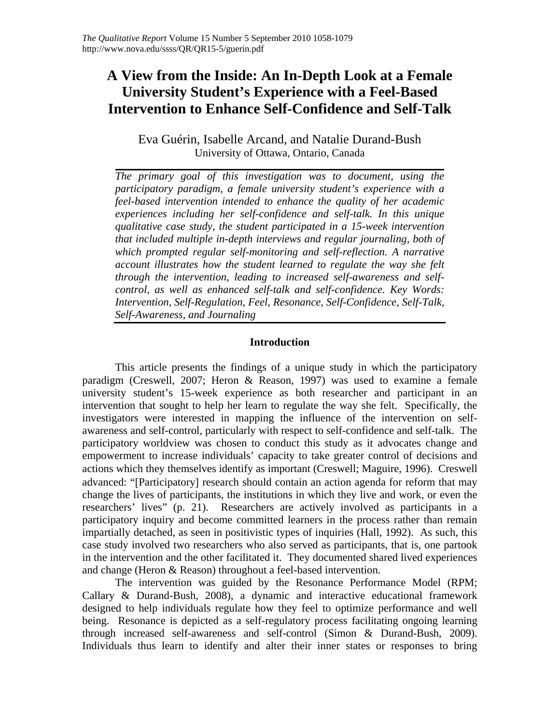## **A View from the Inside: An In-Depth Look at a Female University Student's Experience with a Feel-Based Intervention to Enhance Self-Confidence and Self-Talk**

Eva Guérin, Isabelle Arcand, and Natalie Durand-Bush University of Ottawa, Ontario, Canada

*The primary goal of this investigation was to document, using the participatory paradigm, a female university student's experience with a feel-based intervention intended to enhance the quality of her academic experiences including her self-confidence and self-talk. In this unique qualitative case study, the student participated in a 15-week intervention that included multiple in-depth interviews and regular journaling, both of which prompted regular self-monitoring and self-reflection. A narrative account illustrates how the student learned to regulate the way she felt through the intervention, leading to increased self-awareness and selfcontrol, as well as enhanced self-talk and self-confidence. Key Words: Intervention, Self-Regulation, Feel, Resonance, Self-Confidence, Self-Talk, Self-Awareness, and Journaling* 

#### **Introduction**

This article presents the findings of a unique study in which the participatory paradigm (Creswell, 2007; Heron & Reason, 1997) was used to examine a female university student's 15-week experience as both researcher and participant in an intervention that sought to help her learn to regulate the way she felt. Specifically, the investigators were interested in mapping the influence of the intervention on selfawareness and self-control, particularly with respect to self-confidence and self-talk. The participatory worldview was chosen to conduct this study as it advocates change and empowerment to increase individuals' capacity to take greater control of decisions and actions which they themselves identify as important (Creswell; Maguire, 1996). Creswell advanced: "[Participatory] research should contain an action agenda for reform that may change the lives of participants, the institutions in which they live and work, or even the researchers' lives" (p. 21). Researchers are actively involved as participants in a participatory inquiry and become committed learners in the process rather than remain impartially detached, as seen in positivistic types of inquiries (Hall, 1992). As such, this case study involved two researchers who also served as participants, that is, one partook in the intervention and the other facilitated it. They documented shared lived experiences and change (Heron & Reason) throughout a feel-based intervention.

The intervention was guided by the Resonance Performance Model (RPM; Callary & Durand-Bush, 2008), a dynamic and interactive educational framework designed to help individuals regulate how they feel to optimize performance and well being. Resonance is depicted as a self-regulatory process facilitating ongoing learning through increased self-awareness and self-control (Simon & Durand-Bush, 2009). Individuals thus learn to identify and alter their inner states or responses to bring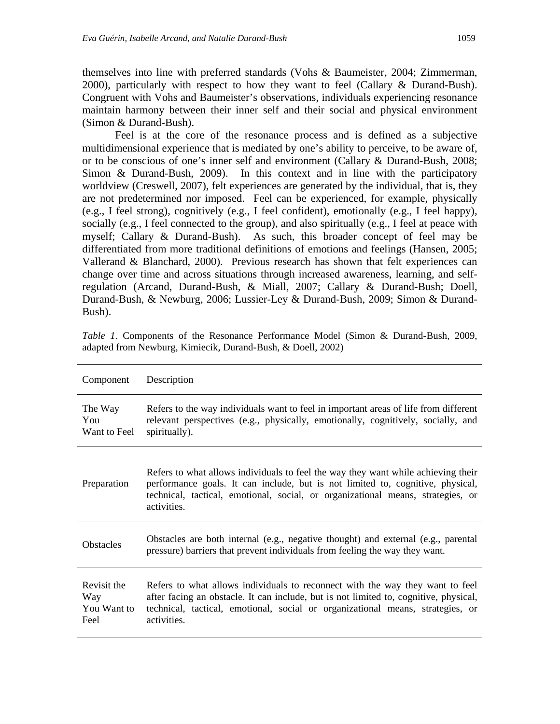themselves into line with preferred standards (Vohs & Baumeister, 2004; Zimmerman, 2000), particularly with respect to how they want to feel (Callary & Durand-Bush). Congruent with Vohs and Baumeister's observations, individuals experiencing resonance maintain harmony between their inner self and their social and physical environment (Simon & Durand-Bush).

Feel is at the core of the resonance process and is defined as a subjective multidimensional experience that is mediated by one's ability to perceive, to be aware of, or to be conscious of one's inner self and environment (Callary & Durand-Bush, 2008; Simon & Durand-Bush, 2009). In this context and in line with the participatory worldview (Creswell, 2007), felt experiences are generated by the individual, that is, they are not predetermined nor imposed. Feel can be experienced, for example, physically (e.g., I feel strong), cognitively (e.g., I feel confident), emotionally (e.g., I feel happy), socially (e.g., I feel connected to the group), and also spiritually (e.g., I feel at peace with myself; Callary & Durand-Bush). As such, this broader concept of feel may be differentiated from more traditional definitions of emotions and feelings (Hansen, 2005; Vallerand & Blanchard, 2000). Previous research has shown that felt experiences can change over time and across situations through increased awareness, learning, and selfregulation (Arcand, Durand-Bush, & Miall, 2007; Callary & Durand-Bush; Doell, Durand-Bush, & Newburg, 2006; Lussier-Ley & Durand-Bush, 2009; Simon & Durand-Bush).

| Component                                 | Description                                                                                                                                                                                                                                                             |
|-------------------------------------------|-------------------------------------------------------------------------------------------------------------------------------------------------------------------------------------------------------------------------------------------------------------------------|
| The Way<br>You<br>Want to Feel            | Refers to the way individuals want to feel in important areas of life from different<br>relevant perspectives (e.g., physically, emotionally, cognitively, socially, and<br>spiritually).                                                                               |
| Preparation                               | Refers to what allows individuals to feel the way they want while achieving their<br>performance goals. It can include, but is not limited to, cognitive, physical,<br>technical, tactical, emotional, social, or organizational means, strategies, or<br>activities.   |
| <b>Obstacles</b>                          | Obstacles are both internal (e.g., negative thought) and external (e.g., parental<br>pressure) barriers that prevent individuals from feeling the way they want.                                                                                                        |
| Revisit the<br>Way<br>You Want to<br>Feel | Refers to what allows individuals to reconnect with the way they want to feel<br>after facing an obstacle. It can include, but is not limited to, cognitive, physical,<br>technical, tactical, emotional, social or organizational means, strategies, or<br>activities. |

*Table 1*. Components of the Resonance Performance Model (Simon & Durand-Bush, 2009, adapted from Newburg, Kimiecik, Durand-Bush, & Doell, 2002)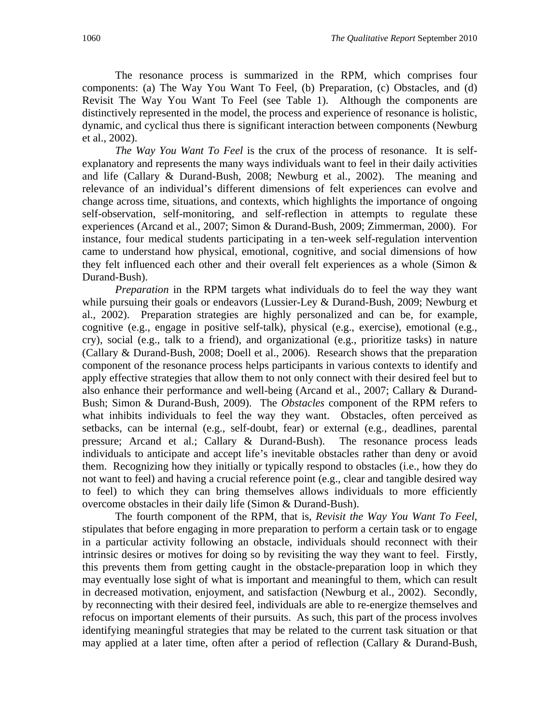The resonance process is summarized in the RPM, which comprises four components: (a) The Way You Want To Feel, (b) Preparation, (c) Obstacles, and (d) Revisit The Way You Want To Feel (see Table 1). Although the components are distinctively represented in the model, the process and experience of resonance is holistic, dynamic, and cyclical thus there is significant interaction between components (Newburg et al., 2002).

*The Way You Want To Feel* is the crux of the process of resonance. It is selfexplanatory and represents the many ways individuals want to feel in their daily activities and life (Callary & Durand-Bush, 2008; Newburg et al., 2002). The meaning and relevance of an individual's different dimensions of felt experiences can evolve and change across time, situations, and contexts, which highlights the importance of ongoing self-observation, self-monitoring, and self-reflection in attempts to regulate these experiences (Arcand et al., 2007; Simon & Durand-Bush, 2009; Zimmerman, 2000). For instance, four medical students participating in a ten-week self-regulation intervention came to understand how physical, emotional, cognitive, and social dimensions of how they felt influenced each other and their overall felt experiences as a whole (Simon & Durand-Bush).

*Preparation* in the RPM targets what individuals do to feel the way they want while pursuing their goals or endeavors (Lussier-Ley & Durand-Bush, 2009; Newburg et al., 2002). Preparation strategies are highly personalized and can be, for example, cognitive (e.g., engage in positive self-talk), physical (e.g., exercise), emotional (e.g., cry), social (e.g., talk to a friend), and organizational (e.g., prioritize tasks) in nature (Callary & Durand-Bush, 2008; Doell et al., 2006). Research shows that the preparation component of the resonance process helps participants in various contexts to identify and apply effective strategies that allow them to not only connect with their desired feel but to also enhance their performance and well-being (Arcand et al., 2007; Callary & Durand-Bush; Simon & Durand-Bush, 2009). The *Obstacles* component of the RPM refers to what inhibits individuals to feel the way they want. Obstacles, often perceived as setbacks, can be internal (e.g., self-doubt, fear) or external (e.g., deadlines, parental pressure; Arcand et al.; Callary & Durand-Bush). The resonance process leads individuals to anticipate and accept life's inevitable obstacles rather than deny or avoid them. Recognizing how they initially or typically respond to obstacles (i.e., how they do not want to feel) and having a crucial reference point (e.g., clear and tangible desired way to feel) to which they can bring themselves allows individuals to more efficiently overcome obstacles in their daily life (Simon & Durand-Bush).

The fourth component of the RPM, that is, *Revisit the Way You Want To Feel*, stipulates that before engaging in more preparation to perform a certain task or to engage in a particular activity following an obstacle, individuals should reconnect with their intrinsic desires or motives for doing so by revisiting the way they want to feel. Firstly, this prevents them from getting caught in the obstacle-preparation loop in which they may eventually lose sight of what is important and meaningful to them, which can result in decreased motivation, enjoyment, and satisfaction (Newburg et al., 2002). Secondly, by reconnecting with their desired feel, individuals are able to re-energize themselves and refocus on important elements of their pursuits. As such, this part of the process involves identifying meaningful strategies that may be related to the current task situation or that may applied at a later time, often after a period of reflection (Callary & Durand-Bush,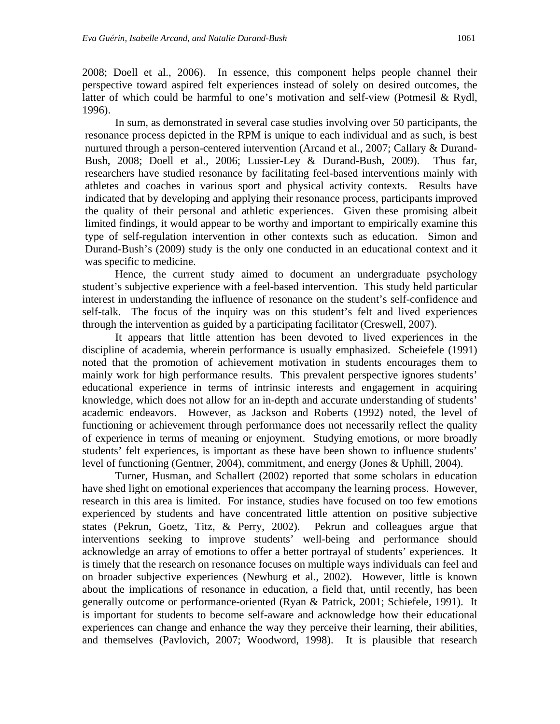2008; Doell et al., 2006). In essence, this component helps people channel their perspective toward aspired felt experiences instead of solely on desired outcomes, the latter of which could be harmful to one's motivation and self-view (Potmesil & Rydl, 1996).

 In sum, as demonstrated in several case studies involving over 50 participants, the resonance process depicted in the RPM is unique to each individual and as such, is best nurtured through a person-centered intervention (Arcand et al., 2007; Callary & Durand-Bush, 2008; Doell et al., 2006; Lussier-Ley & Durand-Bush, 2009). Thus far, researchers have studied resonance by facilitating feel-based interventions mainly with athletes and coaches in various sport and physical activity contexts. Results have indicated that by developing and applying their resonance process, participants improved the quality of their personal and athletic experiences. Given these promising albeit limited findings, it would appear to be worthy and important to empirically examine this type of self-regulation intervention in other contexts such as education. Simon and Durand-Bush's (2009) study is the only one conducted in an educational context and it was specific to medicine.

Hence, the current study aimed to document an undergraduate psychology student's subjective experience with a feel-based intervention. This study held particular interest in understanding the influence of resonance on the student's self-confidence and self-talk. The focus of the inquiry was on this student's felt and lived experiences through the intervention as guided by a participating facilitator (Creswell, 2007).

It appears that little attention has been devoted to lived experiences in the discipline of academia, wherein performance is usually emphasized. Scheiefele (1991) noted that the promotion of achievement motivation in students encourages them to mainly work for high performance results. This prevalent perspective ignores students' educational experience in terms of intrinsic interests and engagement in acquiring knowledge, which does not allow for an in-depth and accurate understanding of students' academic endeavors. However, as Jackson and Roberts (1992) noted, the level of functioning or achievement through performance does not necessarily reflect the quality of experience in terms of meaning or enjoyment. Studying emotions, or more broadly students' felt experiences, is important as these have been shown to influence students' level of functioning (Gentner, 2004), commitment, and energy (Jones & Uphill, 2004).

Turner, Husman, and Schallert (2002) reported that some scholars in education have shed light on emotional experiences that accompany the learning process. However, research in this area is limited. For instance, studies have focused on too few emotions experienced by students and have concentrated little attention on positive subjective states (Pekrun, Goetz, Titz, & Perry, 2002). Pekrun and colleagues argue that interventions seeking to improve students' well-being and performance should acknowledge an array of emotions to offer a better portrayal of students' experiences. It is timely that the research on resonance focuses on multiple ways individuals can feel and on broader subjective experiences (Newburg et al., 2002). However, little is known about the implications of resonance in education, a field that, until recently, has been generally outcome or performance-oriented (Ryan & Patrick, 2001; Schiefele, 1991). It is important for students to become self-aware and acknowledge how their educational experiences can change and enhance the way they perceive their learning, their abilities, and themselves (Pavlovich, 2007; Woodword, 1998). It is plausible that research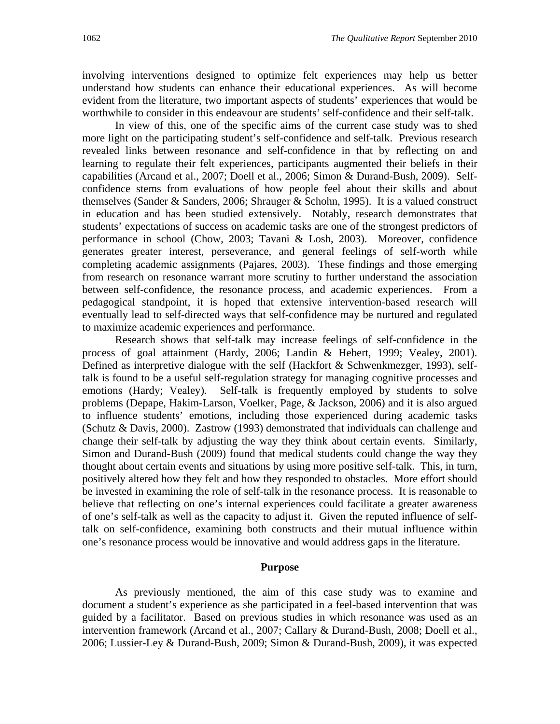involving interventions designed to optimize felt experiences may help us better understand how students can enhance their educational experiences. As will become evident from the literature, two important aspects of students' experiences that would be worthwhile to consider in this endeavour are students' self-confidence and their self-talk.

In view of this, one of the specific aims of the current case study was to shed more light on the participating student's self-confidence and self-talk. Previous research revealed links between resonance and self-confidence in that by reflecting on and learning to regulate their felt experiences, participants augmented their beliefs in their capabilities (Arcand et al., 2007; Doell et al., 2006; Simon & Durand-Bush, 2009). Selfconfidence stems from evaluations of how people feel about their skills and about themselves (Sander & Sanders, 2006; Shrauger & Schohn, 1995). It is a valued construct in education and has been studied extensively. Notably, research demonstrates that students' expectations of success on academic tasks are one of the strongest predictors of performance in school (Chow, 2003; Tavani & Losh, 2003). Moreover, confidence generates greater interest, perseverance, and general feelings of self-worth while completing academic assignments (Pajares, 2003). These findings and those emerging from research on resonance warrant more scrutiny to further understand the association between self-confidence, the resonance process, and academic experiences. From a pedagogical standpoint, it is hoped that extensive intervention-based research will eventually lead to self-directed ways that self-confidence may be nurtured and regulated to maximize academic experiences and performance.

Research shows that self-talk may increase feelings of self-confidence in the process of goal attainment (Hardy, 2006; Landin & Hebert, 1999; Vealey, 2001). Defined as interpretive dialogue with the self (Hackfort & Schwenkmezger, 1993), selftalk is found to be a useful self-regulation strategy for managing cognitive processes and emotions (Hardy; Vealey). Self-talk is frequently employed by students to solve problems (Depape, Hakim-Larson, Voelker, Page, & Jackson, 2006) and it is also argued to influence students' emotions, including those experienced during academic tasks (Schutz & Davis, 2000). Zastrow (1993) demonstrated that individuals can challenge and change their self-talk by adjusting the way they think about certain events. Similarly, Simon and Durand-Bush (2009) found that medical students could change the way they thought about certain events and situations by using more positive self-talk. This, in turn, positively altered how they felt and how they responded to obstacles. More effort should be invested in examining the role of self-talk in the resonance process. It is reasonable to believe that reflecting on one's internal experiences could facilitate a greater awareness of one's self-talk as well as the capacity to adjust it. Given the reputed influence of selftalk on self-confidence, examining both constructs and their mutual influence within one's resonance process would be innovative and would address gaps in the literature.

#### **Purpose**

 As previously mentioned, the aim of this case study was to examine and document a student's experience as she participated in a feel-based intervention that was guided by a facilitator. Based on previous studies in which resonance was used as an intervention framework (Arcand et al., 2007; Callary & Durand-Bush, 2008; Doell et al., 2006; Lussier-Ley & Durand-Bush, 2009; Simon & Durand-Bush, 2009), it was expected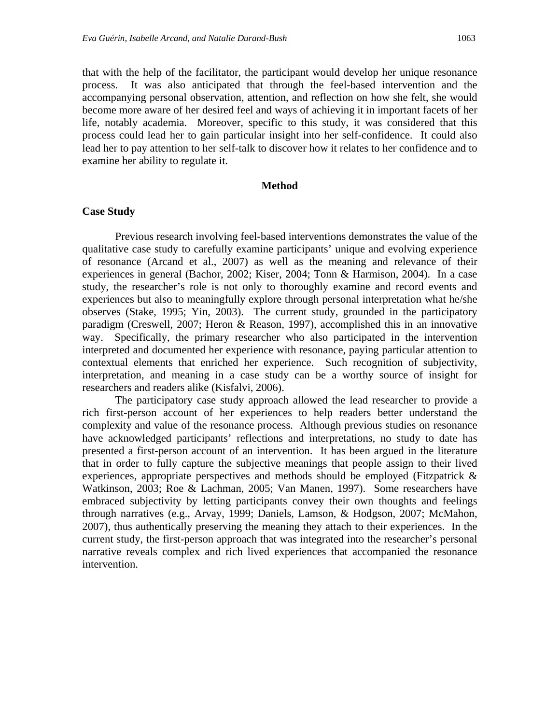that with the help of the facilitator, the participant would develop her unique resonance process. It was also anticipated that through the feel-based intervention and the accompanying personal observation, attention, and reflection on how she felt, she would become more aware of her desired feel and ways of achieving it in important facets of her life, notably academia. Moreover, specific to this study, it was considered that this process could lead her to gain particular insight into her self-confidence. It could also lead her to pay attention to her self-talk to discover how it relates to her confidence and to examine her ability to regulate it.

#### **Method**

#### **Case Study**

Previous research involving feel-based interventions demonstrates the value of the qualitative case study to carefully examine participants' unique and evolving experience of resonance (Arcand et al., 2007) as well as the meaning and relevance of their experiences in general (Bachor, 2002; Kiser, 2004; Tonn & Harmison, 2004). In a case study, the researcher's role is not only to thoroughly examine and record events and experiences but also to meaningfully explore through personal interpretation what he/she observes (Stake, 1995; Yin, 2003). The current study, grounded in the participatory paradigm (Creswell, 2007; Heron & Reason, 1997), accomplished this in an innovative way. Specifically, the primary researcher who also participated in the intervention interpreted and documented her experience with resonance, paying particular attention to contextual elements that enriched her experience. Such recognition of subjectivity, interpretation, and meaning in a case study can be a worthy source of insight for researchers and readers alike (Kisfalvi, 2006).

 The participatory case study approach allowed the lead researcher to provide a rich first-person account of her experiences to help readers better understand the complexity and value of the resonance process. Although previous studies on resonance have acknowledged participants' reflections and interpretations, no study to date has presented a first-person account of an intervention. It has been argued in the literature that in order to fully capture the subjective meanings that people assign to their lived experiences, appropriate perspectives and methods should be employed (Fitzpatrick & Watkinson, 2003; Roe & Lachman, 2005; Van Manen, 1997). Some researchers have embraced subjectivity by letting participants convey their own thoughts and feelings through narratives (e.g., Arvay, 1999; Daniels, Lamson, & Hodgson, 2007; McMahon, 2007), thus authentically preserving the meaning they attach to their experiences. In the current study, the first-person approach that was integrated into the researcher's personal narrative reveals complex and rich lived experiences that accompanied the resonance intervention.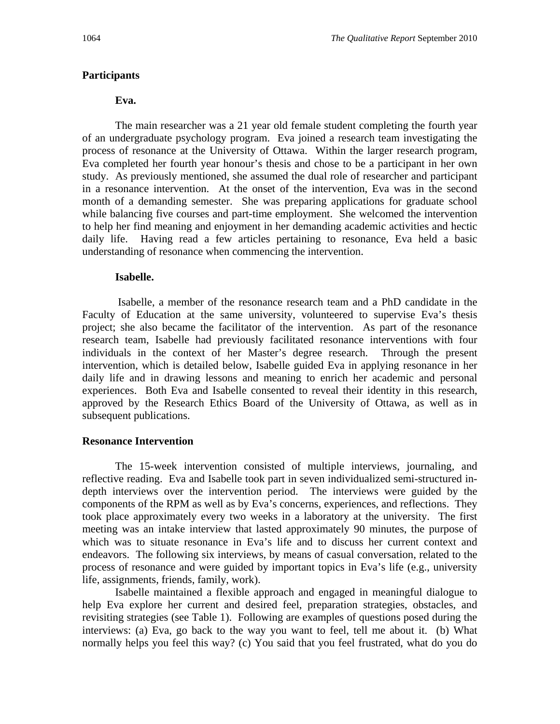#### **Participants**

#### **Eva.**

The main researcher was a 21 year old female student completing the fourth year of an undergraduate psychology program. Eva joined a research team investigating the process of resonance at the University of Ottawa. Within the larger research program, Eva completed her fourth year honour's thesis and chose to be a participant in her own study. As previously mentioned, she assumed the dual role of researcher and participant in a resonance intervention. At the onset of the intervention, Eva was in the second month of a demanding semester. She was preparing applications for graduate school while balancing five courses and part-time employment. She welcomed the intervention to help her find meaning and enjoyment in her demanding academic activities and hectic daily life. Having read a few articles pertaining to resonance, Eva held a basic understanding of resonance when commencing the intervention.

#### **Isabelle.**

Isabelle, a member of the resonance research team and a PhD candidate in the Faculty of Education at the same university, volunteered to supervise Eva's thesis project; she also became the facilitator of the intervention. As part of the resonance research team, Isabelle had previously facilitated resonance interventions with four individuals in the context of her Master's degree research. Through the present intervention, which is detailed below, Isabelle guided Eva in applying resonance in her daily life and in drawing lessons and meaning to enrich her academic and personal experiences. Both Eva and Isabelle consented to reveal their identity in this research, approved by the Research Ethics Board of the University of Ottawa, as well as in subsequent publications.

#### **Resonance Intervention**

The 15-week intervention consisted of multiple interviews, journaling, and reflective reading. Eva and Isabelle took part in seven individualized semi-structured indepth interviews over the intervention period. The interviews were guided by the components of the RPM as well as by Eva's concerns, experiences, and reflections. They took place approximately every two weeks in a laboratory at the university. The first meeting was an intake interview that lasted approximately 90 minutes, the purpose of which was to situate resonance in Eva's life and to discuss her current context and endeavors. The following six interviews, by means of casual conversation, related to the process of resonance and were guided by important topics in Eva's life (e.g., university life, assignments, friends, family, work).

Isabelle maintained a flexible approach and engaged in meaningful dialogue to help Eva explore her current and desired feel, preparation strategies, obstacles, and revisiting strategies (see Table 1). Following are examples of questions posed during the interviews: (a) Eva, go back to the way you want to feel, tell me about it. (b) What normally helps you feel this way? (c) You said that you feel frustrated, what do you do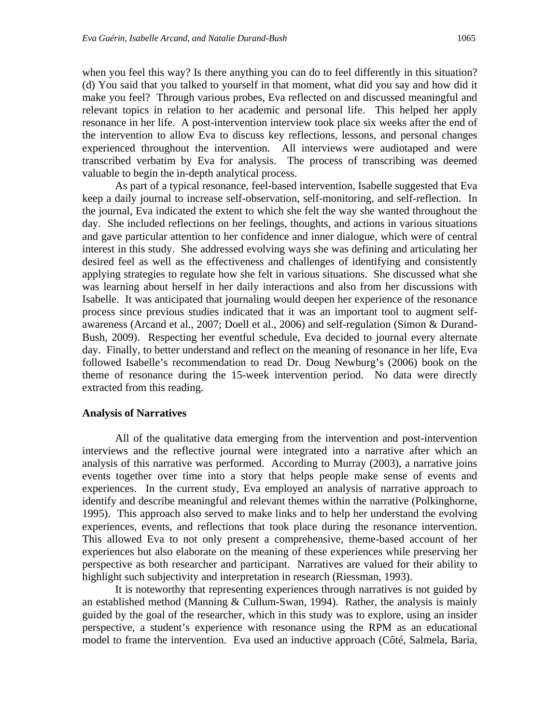when you feel this way? Is there anything you can do to feel differently in this situation? (d) You said that you talked to yourself in that moment, what did you say and how did it make you feel? Through various probes, Eva reflected on and discussed meaningful and relevant topics in relation to her academic and personal life. This helped her apply resonance in her life. A post-intervention interview took place six weeks after the end of the intervention to allow Eva to discuss key reflections, lessons, and personal changes experienced throughout the intervention. All interviews were audiotaped and were transcribed verbatim by Eva for analysis. The process of transcribing was deemed valuable to begin the in-depth analytical process.

As part of a typical resonance, feel-based intervention, Isabelle suggested that Eva keep a daily journal to increase self-observation, self-monitoring, and self-reflection. In the journal, Eva indicated the extent to which she felt the way she wanted throughout the day. She included reflections on her feelings, thoughts, and actions in various situations and gave particular attention to her confidence and inner dialogue, which were of central interest in this study. She addressed evolving ways she was defining and articulating her desired feel as well as the effectiveness and challenges of identifying and consistently applying strategies to regulate how she felt in various situations. She discussed what she was learning about herself in her daily interactions and also from her discussions with Isabelle. It was anticipated that journaling would deepen her experience of the resonance process since previous studies indicated that it was an important tool to augment selfawareness (Arcand et al., 2007; Doell et al., 2006) and self-regulation (Simon & Durand-Bush, 2009). Respecting her eventful schedule, Eva decided to journal every alternate day. Finally, to better understand and reflect on the meaning of resonance in her life, Eva followed Isabelle's recommendation to read Dr. Doug Newburg's (2006) book on the theme of resonance during the 15-week intervention period. No data were directly extracted from this reading.

#### **Analysis of Narratives**

 All of the qualitative data emerging from the intervention and post-intervention interviews and the reflective journal were integrated into a narrative after which an analysis of this narrative was performed. According to Murray (2003), a narrative joins events together over time into a story that helps people make sense of events and experiences. In the current study, Eva employed an analysis of narrative approach to identify and describe meaningful and relevant themes within the narrative (Polkinghorne, 1995). This approach also served to make links and to help her understand the evolving experiences, events, and reflections that took place during the resonance intervention. This allowed Eva to not only present a comprehensive, theme-based account of her experiences but also elaborate on the meaning of these experiences while preserving her perspective as both researcher and participant. Narratives are valued for their ability to highlight such subjectivity and interpretation in research (Riessman, 1993).

It is noteworthy that representing experiences through narratives is not guided by an established method (Manning & Cullum-Swan, 1994). Rather, the analysis is mainly guided by the goal of the researcher, which in this study was to explore, using an insider perspective, a student's experience with resonance using the RPM as an educational model to frame the intervention. Eva used an inductive approach (Côté, Salmela, Baria,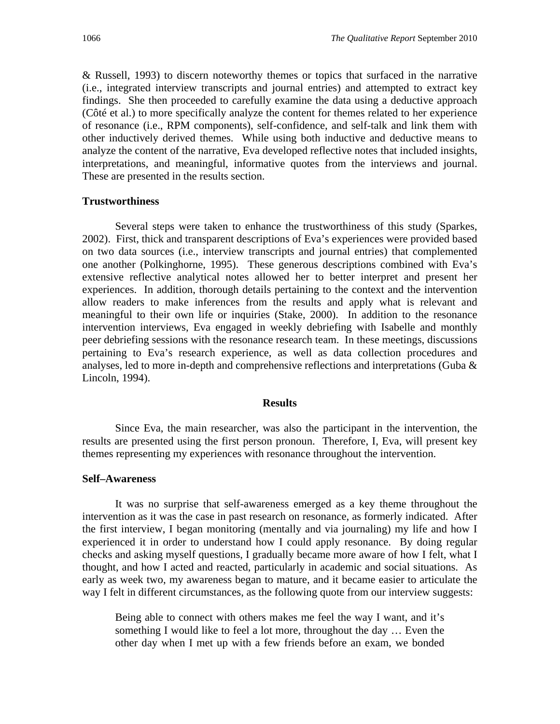& Russell, 1993) to discern noteworthy themes or topics that surfaced in the narrative (i.e., integrated interview transcripts and journal entries) and attempted to extract key findings. She then proceeded to carefully examine the data using a deductive approach (Côté et al.) to more specifically analyze the content for themes related to her experience of resonance (i.e., RPM components), self-confidence, and self-talk and link them with other inductively derived themes. While using both inductive and deductive means to analyze the content of the narrative, Eva developed reflective notes that included insights, interpretations, and meaningful, informative quotes from the interviews and journal. These are presented in the results section.

#### **Trustworthiness**

Several steps were taken to enhance the trustworthiness of this study (Sparkes, 2002). First, thick and transparent descriptions of Eva's experiences were provided based on two data sources (i.e., interview transcripts and journal entries) that complemented one another (Polkinghorne, 1995). These generous descriptions combined with Eva's extensive reflective analytical notes allowed her to better interpret and present her experiences. In addition, thorough details pertaining to the context and the intervention allow readers to make inferences from the results and apply what is relevant and meaningful to their own life or inquiries (Stake, 2000). In addition to the resonance intervention interviews, Eva engaged in weekly debriefing with Isabelle and monthly peer debriefing sessions with the resonance research team. In these meetings, discussions pertaining to Eva's research experience, as well as data collection procedures and analyses, led to more in-depth and comprehensive reflections and interpretations (Guba & Lincoln, 1994).

#### **Results**

Since Eva, the main researcher, was also the participant in the intervention, the results are presented using the first person pronoun. Therefore, I, Eva, will present key themes representing my experiences with resonance throughout the intervention.

#### **Self–Awareness**

It was no surprise that self-awareness emerged as a key theme throughout the intervention as it was the case in past research on resonance, as formerly indicated. After the first interview, I began monitoring (mentally and via journaling) my life and how I experienced it in order to understand how I could apply resonance. By doing regular checks and asking myself questions, I gradually became more aware of how I felt, what I thought, and how I acted and reacted, particularly in academic and social situations. As early as week two, my awareness began to mature, and it became easier to articulate the way I felt in different circumstances, as the following quote from our interview suggests:

Being able to connect with others makes me feel the way I want, and it's something I would like to feel a lot more, throughout the day … Even the other day when I met up with a few friends before an exam, we bonded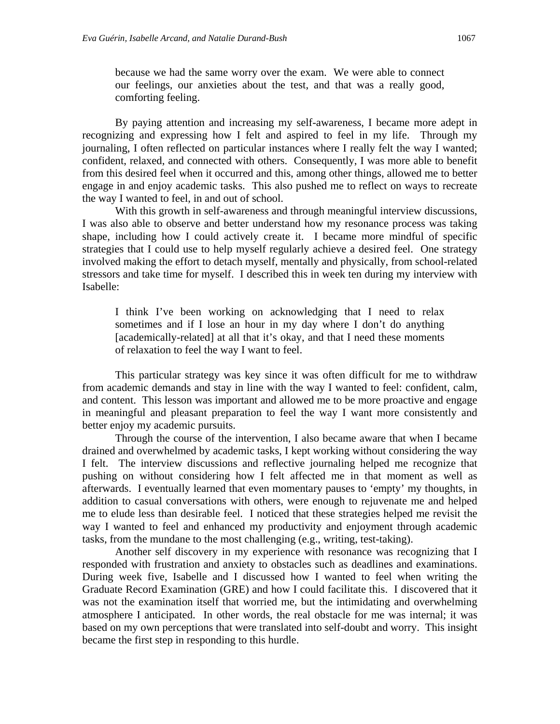because we had the same worry over the exam. We were able to connect our feelings, our anxieties about the test, and that was a really good, comforting feeling.

By paying attention and increasing my self-awareness, I became more adept in recognizing and expressing how I felt and aspired to feel in my life. Through my journaling, I often reflected on particular instances where I really felt the way I wanted; confident, relaxed, and connected with others. Consequently, I was more able to benefit from this desired feel when it occurred and this, among other things, allowed me to better engage in and enjoy academic tasks. This also pushed me to reflect on ways to recreate the way I wanted to feel, in and out of school.

With this growth in self-awareness and through meaningful interview discussions, I was also able to observe and better understand how my resonance process was taking shape, including how I could actively create it. I became more mindful of specific strategies that I could use to help myself regularly achieve a desired feel. One strategy involved making the effort to detach myself, mentally and physically, from school-related stressors and take time for myself. I described this in week ten during my interview with Isabelle:

I think I've been working on acknowledging that I need to relax sometimes and if I lose an hour in my day where I don't do anything [academically-related] at all that it's okay, and that I need these moments of relaxation to feel the way I want to feel.

This particular strategy was key since it was often difficult for me to withdraw from academic demands and stay in line with the way I wanted to feel: confident, calm, and content. This lesson was important and allowed me to be more proactive and engage in meaningful and pleasant preparation to feel the way I want more consistently and better enjoy my academic pursuits.

Through the course of the intervention, I also became aware that when I became drained and overwhelmed by academic tasks, I kept working without considering the way I felt. The interview discussions and reflective journaling helped me recognize that pushing on without considering how I felt affected me in that moment as well as afterwards. I eventually learned that even momentary pauses to 'empty' my thoughts, in addition to casual conversations with others, were enough to rejuvenate me and helped me to elude less than desirable feel. I noticed that these strategies helped me revisit the way I wanted to feel and enhanced my productivity and enjoyment through academic tasks, from the mundane to the most challenging (e.g., writing, test-taking).

Another self discovery in my experience with resonance was recognizing that I responded with frustration and anxiety to obstacles such as deadlines and examinations. During week five, Isabelle and I discussed how I wanted to feel when writing the Graduate Record Examination (GRE) and how I could facilitate this. I discovered that it was not the examination itself that worried me, but the intimidating and overwhelming atmosphere I anticipated. In other words, the real obstacle for me was internal; it was based on my own perceptions that were translated into self-doubt and worry. This insight became the first step in responding to this hurdle.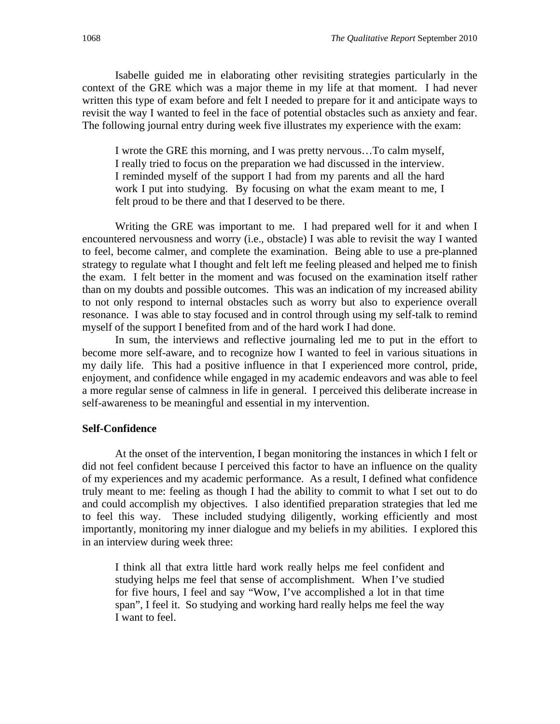Isabelle guided me in elaborating other revisiting strategies particularly in the context of the GRE which was a major theme in my life at that moment. I had never written this type of exam before and felt I needed to prepare for it and anticipate ways to revisit the way I wanted to feel in the face of potential obstacles such as anxiety and fear. The following journal entry during week five illustrates my experience with the exam:

I wrote the GRE this morning, and I was pretty nervous…To calm myself, I really tried to focus on the preparation we had discussed in the interview. I reminded myself of the support I had from my parents and all the hard work I put into studying. By focusing on what the exam meant to me, I felt proud to be there and that I deserved to be there.

Writing the GRE was important to me. I had prepared well for it and when I encountered nervousness and worry (i.e., obstacle) I was able to revisit the way I wanted to feel, become calmer, and complete the examination. Being able to use a pre-planned strategy to regulate what I thought and felt left me feeling pleased and helped me to finish the exam. I felt better in the moment and was focused on the examination itself rather than on my doubts and possible outcomes. This was an indication of my increased ability to not only respond to internal obstacles such as worry but also to experience overall resonance. I was able to stay focused and in control through using my self-talk to remind myself of the support I benefited from and of the hard work I had done.

In sum, the interviews and reflective journaling led me to put in the effort to become more self-aware, and to recognize how I wanted to feel in various situations in my daily life. This had a positive influence in that I experienced more control, pride, enjoyment, and confidence while engaged in my academic endeavors and was able to feel a more regular sense of calmness in life in general. I perceived this deliberate increase in self-awareness to be meaningful and essential in my intervention.

#### **Self-Confidence**

At the onset of the intervention, I began monitoring the instances in which I felt or did not feel confident because I perceived this factor to have an influence on the quality of my experiences and my academic performance. As a result, I defined what confidence truly meant to me: feeling as though I had the ability to commit to what I set out to do and could accomplish my objectives. I also identified preparation strategies that led me to feel this way. These included studying diligently, working efficiently and most importantly, monitoring my inner dialogue and my beliefs in my abilities. I explored this in an interview during week three:

I think all that extra little hard work really helps me feel confident and studying helps me feel that sense of accomplishment. When I've studied for five hours, I feel and say "Wow, I've accomplished a lot in that time span", I feel it. So studying and working hard really helps me feel the way I want to feel.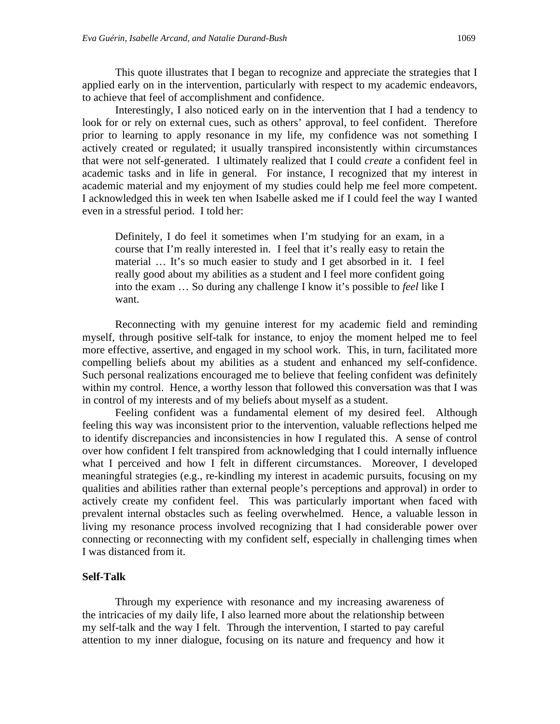This quote illustrates that I began to recognize and appreciate the strategies that I applied early on in the intervention, particularly with respect to my academic endeavors, to achieve that feel of accomplishment and confidence.

Interestingly, I also noticed early on in the intervention that I had a tendency to look for or rely on external cues, such as others' approval, to feel confident. Therefore prior to learning to apply resonance in my life, my confidence was not something I actively created or regulated; it usually transpired inconsistently within circumstances that were not self-generated. I ultimately realized that I could *create* a confident feel in academic tasks and in life in general. For instance, I recognized that my interest in academic material and my enjoyment of my studies could help me feel more competent. I acknowledged this in week ten when Isabelle asked me if I could feel the way I wanted even in a stressful period. I told her:

Definitely, I do feel it sometimes when I'm studying for an exam, in a course that I'm really interested in. I feel that it's really easy to retain the material … It's so much easier to study and I get absorbed in it. I feel really good about my abilities as a student and I feel more confident going into the exam … So during any challenge I know it's possible to *feel* like I want.

 Reconnecting with my genuine interest for my academic field and reminding myself, through positive self-talk for instance, to enjoy the moment helped me to feel more effective, assertive, and engaged in my school work. This, in turn, facilitated more compelling beliefs about my abilities as a student and enhanced my self-confidence. Such personal realizations encouraged me to believe that feeling confident was definitely within my control. Hence, a worthy lesson that followed this conversation was that I was in control of my interests and of my beliefs about myself as a student.

 Feeling confident was a fundamental element of my desired feel. Although feeling this way was inconsistent prior to the intervention, valuable reflections helped me to identify discrepancies and inconsistencies in how I regulated this. A sense of control over how confident I felt transpired from acknowledging that I could internally influence what I perceived and how I felt in different circumstances. Moreover, I developed meaningful strategies (e.g., re-kindling my interest in academic pursuits, focusing on my qualities and abilities rather than external people's perceptions and approval) in order to actively create my confident feel. This was particularly important when faced with prevalent internal obstacles such as feeling overwhelmed. Hence, a valuable lesson in living my resonance process involved recognizing that I had considerable power over connecting or reconnecting with my confident self, especially in challenging times when I was distanced from it.

#### **Self-Talk**

Through my experience with resonance and my increasing awareness of the intricacies of my daily life, I also learned more about the relationship between my self-talk and the way I felt. Through the intervention, I started to pay careful attention to my inner dialogue, focusing on its nature and frequency and how it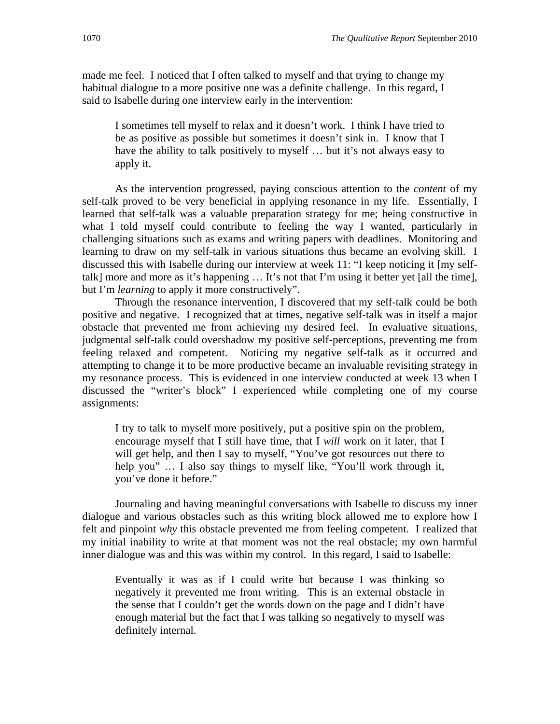made me feel. I noticed that I often talked to myself and that trying to change my habitual dialogue to a more positive one was a definite challenge. In this regard, I said to Isabelle during one interview early in the intervention:

I sometimes tell myself to relax and it doesn't work. I think I have tried to be as positive as possible but sometimes it doesn't sink in. I know that I have the ability to talk positively to myself … but it's not always easy to apply it.

As the intervention progressed, paying conscious attention to the *content* of my self-talk proved to be very beneficial in applying resonance in my life. Essentially, I learned that self-talk was a valuable preparation strategy for me; being constructive in what I told myself could contribute to feeling the way I wanted, particularly in challenging situations such as exams and writing papers with deadlines. Monitoring and learning to draw on my self-talk in various situations thus became an evolving skill. I discussed this with Isabelle during our interview at week 11: "I keep noticing it [my selftalk] more and more as it's happening … It's not that I'm using it better yet [all the time], but I'm *learning* to apply it more constructively".

Through the resonance intervention, I discovered that my self-talk could be both positive and negative. I recognized that at times, negative self-talk was in itself a major obstacle that prevented me from achieving my desired feel. In evaluative situations, judgmental self-talk could overshadow my positive self-perceptions, preventing me from feeling relaxed and competent. Noticing my negative self-talk as it occurred and attempting to change it to be more productive became an invaluable revisiting strategy in my resonance process. This is evidenced in one interview conducted at week 13 when I discussed the "writer's block" I experienced while completing one of my course assignments:

I try to talk to myself more positively, put a positive spin on the problem, encourage myself that I still have time, that I *will* work on it later, that I will get help, and then I say to myself, "You've got resources out there to help you" ... I also say things to myself like, "You'll work through it, you've done it before."

Journaling and having meaningful conversations with Isabelle to discuss my inner dialogue and various obstacles such as this writing block allowed me to explore how I felt and pinpoint *why* this obstacle prevented me from feeling competent. I realized that my initial inability to write at that moment was not the real obstacle; my own harmful inner dialogue was and this was within my control. In this regard, I said to Isabelle:

Eventually it was as if I could write but because I was thinking so negatively it prevented me from writing. This is an external obstacle in the sense that I couldn't get the words down on the page and I didn't have enough material but the fact that I was talking so negatively to myself was definitely internal.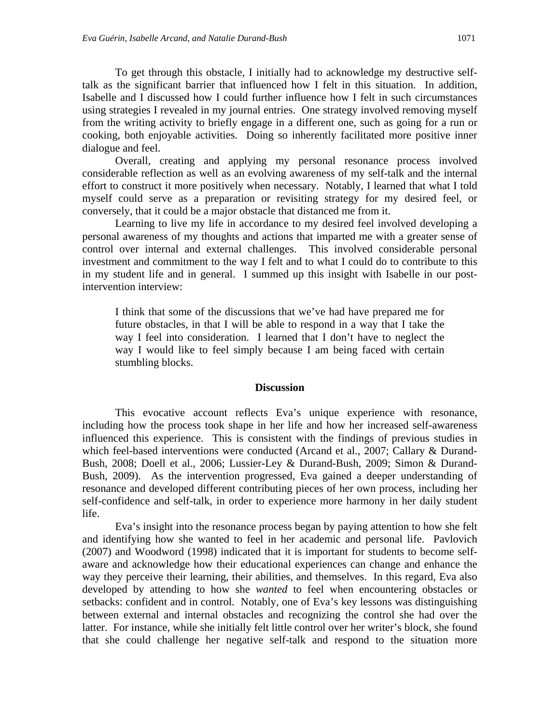To get through this obstacle, I initially had to acknowledge my destructive selftalk as the significant barrier that influenced how I felt in this situation. In addition, Isabelle and I discussed how I could further influence how I felt in such circumstances using strategies I revealed in my journal entries. One strategy involved removing myself from the writing activity to briefly engage in a different one, such as going for a run or cooking, both enjoyable activities. Doing so inherently facilitated more positive inner dialogue and feel.

Overall, creating and applying my personal resonance process involved considerable reflection as well as an evolving awareness of my self-talk and the internal effort to construct it more positively when necessary. Notably, I learned that what I told myself could serve as a preparation or revisiting strategy for my desired feel, or conversely, that it could be a major obstacle that distanced me from it.

 Learning to live my life in accordance to my desired feel involved developing a personal awareness of my thoughts and actions that imparted me with a greater sense of control over internal and external challenges. This involved considerable personal investment and commitment to the way I felt and to what I could do to contribute to this in my student life and in general. I summed up this insight with Isabelle in our postintervention interview:

I think that some of the discussions that we've had have prepared me for future obstacles, in that I will be able to respond in a way that I take the way I feel into consideration. I learned that I don't have to neglect the way I would like to feel simply because I am being faced with certain stumbling blocks.

#### **Discussion**

This evocative account reflects Eva's unique experience with resonance, including how the process took shape in her life and how her increased self-awareness influenced this experience. This is consistent with the findings of previous studies in which feel-based interventions were conducted (Arcand et al., 2007; Callary & Durand-Bush, 2008; Doell et al., 2006; Lussier-Ley & Durand-Bush, 2009; Simon & Durand-Bush, 2009). As the intervention progressed, Eva gained a deeper understanding of resonance and developed different contributing pieces of her own process, including her self-confidence and self-talk, in order to experience more harmony in her daily student life.

 Eva's insight into the resonance process began by paying attention to how she felt and identifying how she wanted to feel in her academic and personal life. Pavlovich (2007) and Woodword (1998) indicated that it is important for students to become selfaware and acknowledge how their educational experiences can change and enhance the way they perceive their learning, their abilities, and themselves. In this regard, Eva also developed by attending to how she *wanted* to feel when encountering obstacles or setbacks: confident and in control. Notably, one of Eva's key lessons was distinguishing between external and internal obstacles and recognizing the control she had over the latter. For instance, while she initially felt little control over her writer's block, she found that she could challenge her negative self-talk and respond to the situation more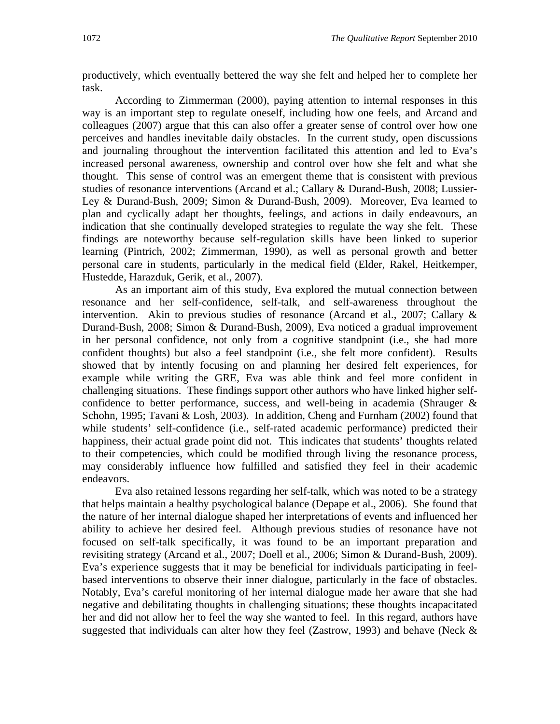productively, which eventually bettered the way she felt and helped her to complete her task.

According to Zimmerman (2000), paying attention to internal responses in this way is an important step to regulate oneself, including how one feels, and Arcand and colleagues (2007) argue that this can also offer a greater sense of control over how one perceives and handles inevitable daily obstacles. In the current study, open discussions and journaling throughout the intervention facilitated this attention and led to Eva's increased personal awareness, ownership and control over how she felt and what she thought. This sense of control was an emergent theme that is consistent with previous studies of resonance interventions (Arcand et al.; Callary & Durand-Bush, 2008; Lussier-Ley & Durand-Bush, 2009; Simon & Durand-Bush, 2009). Moreover, Eva learned to plan and cyclically adapt her thoughts, feelings, and actions in daily endeavours, an indication that she continually developed strategies to regulate the way she felt. These findings are noteworthy because self-regulation skills have been linked to superior learning (Pintrich, 2002; Zimmerman, 1990), as well as personal growth and better personal care in students, particularly in the medical field (Elder, Rakel, Heitkemper, Hustedde, Harazduk, Gerik, et al., 2007).

As an important aim of this study, Eva explored the mutual connection between resonance and her self-confidence, self-talk, and self-awareness throughout the intervention. Akin to previous studies of resonance (Arcand et al., 2007; Callary & Durand-Bush, 2008; Simon & Durand-Bush, 2009), Eva noticed a gradual improvement in her personal confidence, not only from a cognitive standpoint (i.e., she had more confident thoughts) but also a feel standpoint (i.e., she felt more confident). Results showed that by intently focusing on and planning her desired felt experiences, for example while writing the GRE, Eva was able think and feel more confident in challenging situations. These findings support other authors who have linked higher selfconfidence to better performance, success, and well-being in academia (Shrauger & Schohn, 1995; Tavani & Losh, 2003). In addition, Cheng and Furnham (2002) found that while students' self-confidence (i.e., self-rated academic performance) predicted their happiness, their actual grade point did not. This indicates that students' thoughts related to their competencies, which could be modified through living the resonance process, may considerably influence how fulfilled and satisfied they feel in their academic endeavors.

Eva also retained lessons regarding her self-talk, which was noted to be a strategy that helps maintain a healthy psychological balance (Depape et al., 2006). She found that the nature of her internal dialogue shaped her interpretations of events and influenced her ability to achieve her desired feel. Although previous studies of resonance have not focused on self-talk specifically, it was found to be an important preparation and revisiting strategy (Arcand et al., 2007; Doell et al., 2006; Simon & Durand-Bush, 2009). Eva's experience suggests that it may be beneficial for individuals participating in feelbased interventions to observe their inner dialogue, particularly in the face of obstacles. Notably, Eva's careful monitoring of her internal dialogue made her aware that she had negative and debilitating thoughts in challenging situations; these thoughts incapacitated her and did not allow her to feel the way she wanted to feel. In this regard, authors have suggested that individuals can alter how they feel (Zastrow, 1993) and behave (Neck  $\&$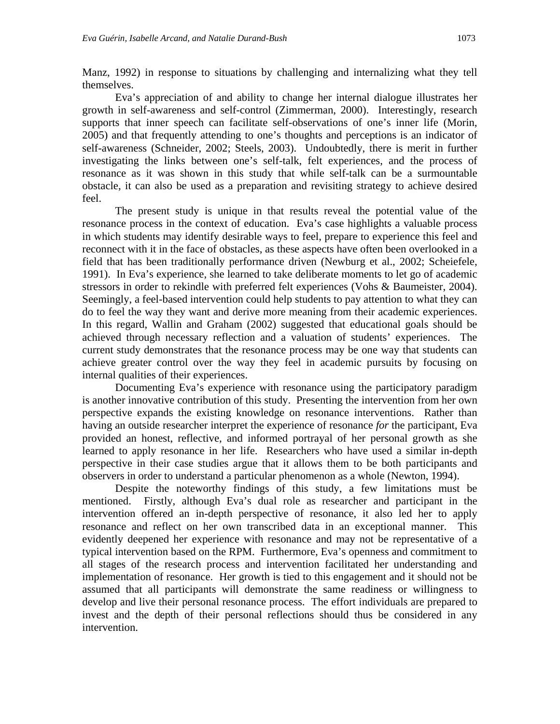Manz, 1992) in response to situations by challenging and internalizing what they tell themselves.

Eva's appreciation of and ability to change her internal dialogue illustrates her growth in self-awareness and self-control (Zimmerman, 2000). Interestingly, research supports that inner speech can facilitate self-observations of one's inner life (Morin, 2005) and that frequently attending to one's thoughts and perceptions is an indicator of self-awareness (Schneider, 2002; Steels, 2003). Undoubtedly, there is merit in further investigating the links between one's self-talk, felt experiences, and the process of resonance as it was shown in this study that while self-talk can be a surmountable obstacle, it can also be used as a preparation and revisiting strategy to achieve desired feel.

The present study is unique in that results reveal the potential value of the resonance process in the context of education. Eva's case highlights a valuable process in which students may identify desirable ways to feel, prepare to experience this feel and reconnect with it in the face of obstacles, as these aspects have often been overlooked in a field that has been traditionally performance driven (Newburg et al., 2002; Scheiefele, 1991). In Eva's experience, she learned to take deliberate moments to let go of academic stressors in order to rekindle with preferred felt experiences (Vohs & Baumeister, 2004). Seemingly, a feel-based intervention could help students to pay attention to what they can do to feel the way they want and derive more meaning from their academic experiences. In this regard, Wallin and Graham (2002) suggested that educational goals should be achieved through necessary reflection and a valuation of students' experiences. The current study demonstrates that the resonance process may be one way that students can achieve greater control over the way they feel in academic pursuits by focusing on internal qualities of their experiences.

Documenting Eva's experience with resonance using the participatory paradigm is another innovative contribution of this study. Presenting the intervention from her own perspective expands the existing knowledge on resonance interventions. Rather than having an outside researcher interpret the experience of resonance *for* the participant, Eva provided an honest, reflective, and informed portrayal of her personal growth as she learned to apply resonance in her life. Researchers who have used a similar in-depth perspective in their case studies argue that it allows them to be both participants and observers in order to understand a particular phenomenon as a whole (Newton, 1994).

Despite the noteworthy findings of this study, a few limitations must be mentioned. Firstly, although Eva's dual role as researcher and participant in the intervention offered an in-depth perspective of resonance, it also led her to apply resonance and reflect on her own transcribed data in an exceptional manner. This evidently deepened her experience with resonance and may not be representative of a typical intervention based on the RPM. Furthermore, Eva's openness and commitment to all stages of the research process and intervention facilitated her understanding and implementation of resonance. Her growth is tied to this engagement and it should not be assumed that all participants will demonstrate the same readiness or willingness to develop and live their personal resonance process. The effort individuals are prepared to invest and the depth of their personal reflections should thus be considered in any intervention.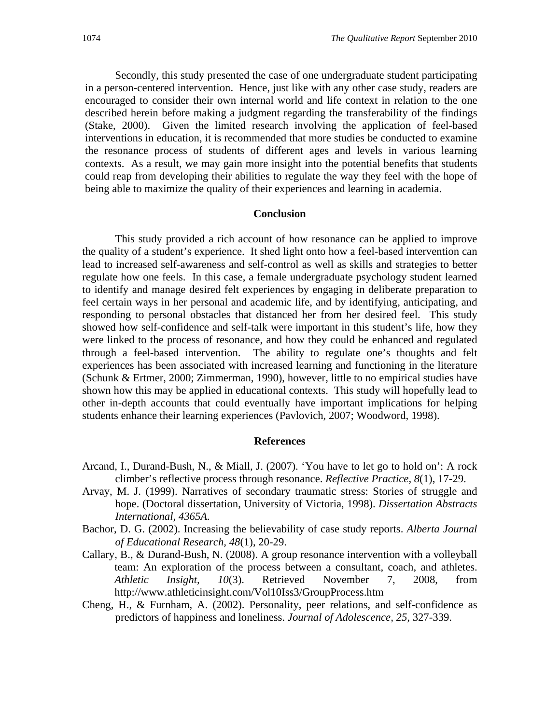Secondly, this study presented the case of one undergraduate student participating in a person-centered intervention. Hence, just like with any other case study, readers are encouraged to consider their own internal world and life context in relation to the one described herein before making a judgment regarding the transferability of the findings (Stake, 2000). Given the limited research involving the application of feel-based interventions in education, it is recommended that more studies be conducted to examine the resonance process of students of different ages and levels in various learning contexts. As a result, we may gain more insight into the potential benefits that students could reap from developing their abilities to regulate the way they feel with the hope of being able to maximize the quality of their experiences and learning in academia.

#### **Conclusion**

This study provided a rich account of how resonance can be applied to improve the quality of a student's experience. It shed light onto how a feel-based intervention can lead to increased self-awareness and self-control as well as skills and strategies to better regulate how one feels. In this case, a female undergraduate psychology student learned to identify and manage desired felt experiences by engaging in deliberate preparation to feel certain ways in her personal and academic life, and by identifying, anticipating, and responding to personal obstacles that distanced her from her desired feel. This study showed how self-confidence and self-talk were important in this student's life, how they were linked to the process of resonance, and how they could be enhanced and regulated through a feel-based intervention. The ability to regulate one's thoughts and felt experiences has been associated with increased learning and functioning in the literature (Schunk & Ertmer, 2000; Zimmerman, 1990), however, little to no empirical studies have shown how this may be applied in educational contexts. This study will hopefully lead to other in-depth accounts that could eventually have important implications for helping students enhance their learning experiences (Pavlovich, 2007; Woodword, 1998).

#### **References**

- Arcand, I., Durand-Bush, N., & Miall, J. (2007). 'You have to let go to hold on': A rock climber's reflective process through resonance. *Reflective Practice, 8*(1), 17-29.
- Arvay, M. J. (1999). Narratives of secondary traumatic stress: Stories of struggle and hope. (Doctoral dissertation, University of Victoria, 1998). *Dissertation Abstracts International, 4365A.*
- Bachor, D. G. (2002). Increasing the believability of case study reports. *Alberta Journal of Educational Research, 48*(1), 20-29.
- Callary, B., & Durand-Bush, N. (2008). A group resonance intervention with a volleyball team: An exploration of the process between a consultant, coach, and athletes. *Athletic Insight, 10*(3). Retrieved November 7, 2008, from http://www.athleticinsight.com/Vol10Iss3/GroupProcess.htm
- Cheng, H., & Furnham, A. (2002). Personality, peer relations, and self-confidence as predictors of happiness and loneliness. *Journal of Adolescence, 25,* 327-339.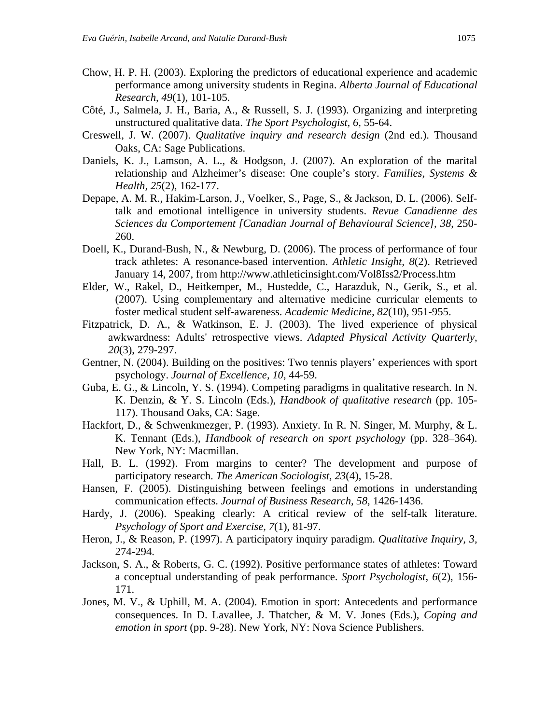- Chow, H. P. H. (2003). Exploring the predictors of educational experience and academic performance among university students in Regina. *Alberta Journal of Educational Research, 49*(1), 101-105.
- Côté, J., Salmela, J. H., Baria, A., & Russell, S. J. (1993). Organizing and interpreting unstructured qualitative data. *The Sport Psychologist, 6,* 55-64.
- Creswell, J. W. (2007). *Qualitative inquiry and research design* (2nd ed.). Thousand Oaks, CA: Sage Publications.
- Daniels, K. J., Lamson, A. L., & Hodgson, J. (2007). An exploration of the marital relationship and Alzheimer's disease: One couple's story. *Families, Systems & Health, 25*(2), 162-177.
- Depape, A. M. R., Hakim-Larson, J., Voelker, S., Page, S., & Jackson, D. L. (2006). Selftalk and emotional intelligence in university students. *Revue Canadienne des Sciences du Comportement [Canadian Journal of Behavioural Science], 38*, 250- 260.
- Doell, K., Durand-Bush, N., & Newburg, D. (2006). The process of performance of four track athletes: A resonance-based intervention. *Athletic Insight, 8*(2). Retrieved January 14, 2007, from http://www.athleticinsight.com/Vol8Iss2/Process.htm
- Elder, W., Rakel, D., Heitkemper, M., Hustedde, C., Harazduk, N., Gerik, S., et al. (2007). Using complementary and alternative medicine curricular elements to foster medical student self-awareness. *Academic Medicine, 82*(10), 951-955.
- Fitzpatrick, D. A., & Watkinson, E. J. (2003). The lived experience of physical awkwardness: Adults' retrospective views. *Adapted Physical Activity Quarterly, 20*(3), 279-297.
- Gentner, N. (2004). Building on the positives: Two tennis players' experiences with sport psychology. *Journal of Excellence, 10*, 44-59.
- Guba, E. G., & Lincoln, Y. S. (1994). Competing paradigms in qualitative research. In N. K. Denzin, & Y. S. Lincoln (Eds.), *Handbook of qualitative research* (pp. 105- 117). Thousand Oaks, CA: Sage.
- Hackfort, D., & Schwenkmezger, P. (1993). Anxiety. In R. N. Singer, M. Murphy, & L. K. Tennant (Eds.), *Handbook of research on sport psychology* (pp. 328–364). New York, NY: Macmillan.
- Hall, B. L. (1992). From margins to center? The development and purpose of participatory research. *The American Sociologist, 23*(4), 15-28.
- Hansen, F. (2005). Distinguishing between feelings and emotions in understanding communication effects. *Journal of Business Research, 58,* 1426-1436.
- Hardy, J. (2006). Speaking clearly: A critical review of the self-talk literature. *Psychology of Sport and Exercise, 7*(1), 81-97.
- Heron, J., & Reason, P. (1997). A participatory inquiry paradigm. *Qualitative Inquiry, 3,* 274-294.
- Jackson, S. A., & Roberts, G. C. (1992). Positive performance states of athletes: Toward a conceptual understanding of peak performance. *Sport Psychologist, 6*(2), 156- 171.
- Jones, M. V., & Uphill, M. A. (2004). Emotion in sport: Antecedents and performance consequences. In D. Lavallee, J. Thatcher, & M. V. Jones (Eds.), *Coping and emotion in sport* (pp. 9-28). New York, NY: Nova Science Publishers.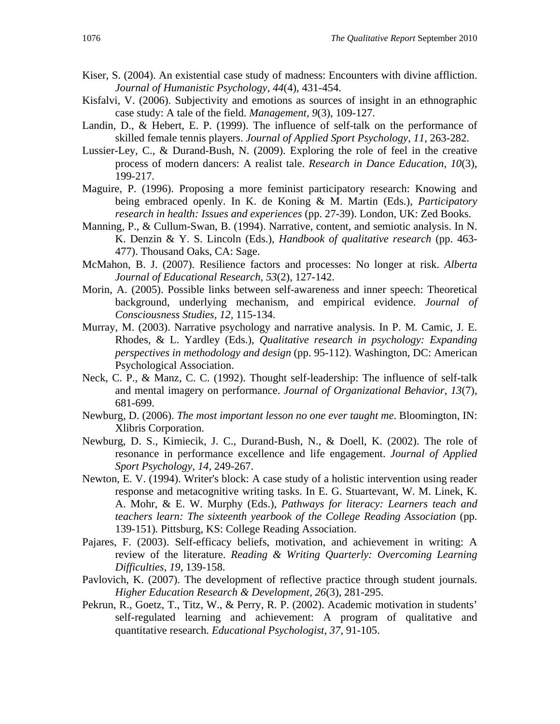- Kiser, S. (2004). An existential case study of madness: Encounters with divine affliction. *Journal of Humanistic Psychology*, *44*(4), 431-454.
- Kisfalvi, V. (2006). Subjectivity and emotions as sources of insight in an ethnographic case study: A tale of the field. *Management, 9*(3), 109-127.
- Landin, D., & Hebert, E. P. (1999). The influence of self-talk on the performance of skilled female tennis players. *Journal of Applied Sport Psychology, 11,* 263-282.
- Lussier-Ley, C., & Durand-Bush, N. (2009). Exploring the role of feel in the creative process of modern dancers: A realist tale. *Research in Dance Education, 10*(3), 199-217.
- Maguire, P. (1996). Proposing a more feminist participatory research: Knowing and being embraced openly. In K. de Koning & M. Martin (Eds.), *Participatory research in health: Issues and experiences* (pp. 27-39). London, UK: Zed Books.
- Manning, P., & Cullum-Swan, B. (1994). Narrative, content, and semiotic analysis. In N. K. Denzin & Y. S. Lincoln (Eds.), *Handbook of qualitative research* (pp. 463- 477). Thousand Oaks, CA: Sage.
- McMahon, B. J. (2007). Resilience factors and processes: No longer at risk. *Alberta Journal of Educational Research, 53*(2), 127-142.
- Morin, A. (2005). Possible links between self-awareness and inner speech: Theoretical background, underlying mechanism, and empirical evidence. *Journal of Consciousness Studies, 12,* 115-134.
- Murray, M. (2003). Narrative psychology and narrative analysis. In P. M. Camic, J. E. Rhodes, & L. Yardley (Eds.), *Qualitative research in psychology: Expanding perspectives in methodology and design* (pp. 95-112). Washington, DC: American Psychological Association.
- Neck, C. P., & Manz, C. C. (1992). Thought self-leadership: The influence of self-talk and mental imagery on performance. *Journal of Organizational Behavior*, *13*(7), 681-699.
- Newburg, D. (2006). *The most important lesson no one ever taught me*. Bloomington, IN: Xlibris Corporation.
- Newburg, D. S., Kimiecik, J. C., Durand-Bush, N., & Doell, K. (2002). The role of resonance in performance excellence and life engagement. *Journal of Applied Sport Psychology, 14,* 249-267.
- Newton, E. V. (1994). Writer's block: A case study of a holistic intervention using reader response and metacognitive writing tasks. In E. G. Stuartevant, W. M. Linek, K. A. Mohr, & E. W. Murphy (Eds.), *Pathways for literacy: Learners teach and teachers learn: The sixteenth yearbook of the College Reading Association (pp.* 139-151)*.* Pittsburg, KS: College Reading Association.
- Pajares, F. (2003). Self-efficacy beliefs, motivation, and achievement in writing: A review of the literature. *Reading & Writing Quarterly: Overcoming Learning Difficulties*, *19,* 139-158.
- Pavlovich, K. (2007). The development of reflective practice through student journals. *Higher Education Research & Development, 26*(3), 281-295.
- Pekrun, R., Goetz, T., Titz, W., & Perry, R. P. (2002). Academic motivation in students' self-regulated learning and achievement: A program of qualitative and quantitative research. *Educational Psychologist, 37,* 91-105.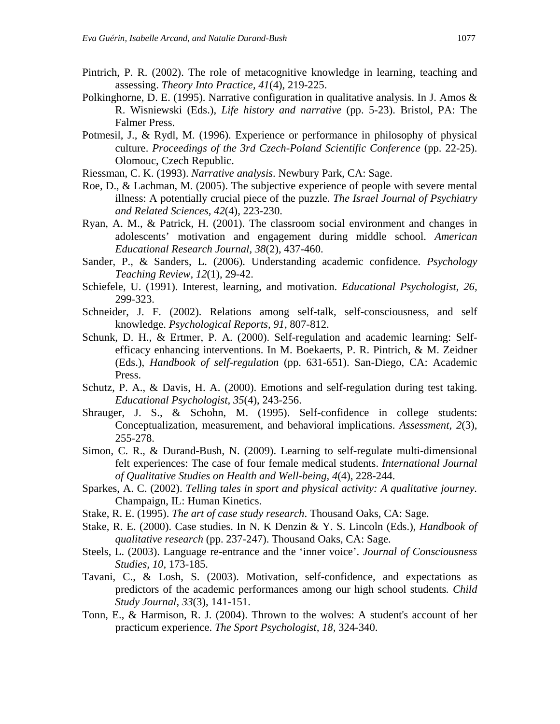- Pintrich, P. R. (2002). The role of metacognitive knowledge in learning, teaching and assessing. *Theory Into Practice, 41*(4), 219-225.
- Polkinghorne, D. E. (1995). Narrative configuration in qualitative analysis. In J. Amos & R. Wisniewski (Eds.), *Life history and narrative* (pp. 5-23). Bristol, PA: The Falmer Press.
- Potmesil, J., & Rydl, M. (1996). Experience or performance in philosophy of physical culture. *Proceedings of the 3rd Czech-Poland Scientific Conference* (pp. 22-25). Olomouc, Czech Republic.
- Riessman, C. K. (1993). *Narrative analysis*. Newbury Park, CA: Sage.
- Roe, D., & Lachman, M. (2005). The subjective experience of people with severe mental illness: A potentially crucial piece of the puzzle. *The Israel Journal of Psychiatry and Related Sciences, 42*(4), 223-230.
- Ryan, A. M., & Patrick, H. (2001). The classroom social environment and changes in adolescents' motivation and engagement during middle school. *American Educational Research Journal, 38*(2), 437-460.
- Sander, P., & Sanders, L. (2006). Understanding academic confidence. *Psychology Teaching Review, 12*(1), 29-42.
- Schiefele, U. (1991). Interest, learning, and motivation. *Educational Psychologist, 26,*  299-323.
- Schneider, J. F. (2002). Relations among self-talk, self-consciousness, and self knowledge. *Psychological Reports, 91,* 807-812.
- Schunk, D. H., & Ertmer, P. A. (2000). Self-regulation and academic learning: Selfefficacy enhancing interventions. In M. Boekaerts, P. R. Pintrich, & M. Zeidner (Eds.), *Handbook of self-regulation* (pp. 631-651). San-Diego, CA: Academic Press.
- Schutz, P. A., & Davis, H. A. (2000). Emotions and self-regulation during test taking. *Educational Psychologist, 35*(4), 243-256.
- Shrauger, J. S., & Schohn, M. (1995). Self-confidence in college students: Conceptualization, measurement, and behavioral implications. *Assessment, 2*(3), 255-278.
- Simon, C. R., & Durand-Bush, N. (2009). Learning to self-regulate multi-dimensional felt experiences: The case of four female medical students. *International Journal of Qualitative Studies on Health and Well-being, 4*(4), 228-244.
- Sparkes, A. C. (2002). *Telling tales in sport and physical activity: A qualitative journey.*  Champaign, IL: Human Kinetics.
- Stake, R. E. (1995). *The art of case study research*. Thousand Oaks, CA: Sage.
- Stake, R. E. (2000). Case studies. In N. K Denzin & Y. S. Lincoln (Eds.), *Handbook of qualitative research* (pp. 237-247). Thousand Oaks, CA: Sage.
- Steels, L. (2003). Language re-entrance and the 'inner voice'. *Journal of Consciousness Studies, 10,* 173-185.
- Tavani, C., & Losh, S. (2003). Motivation, self-confidence, and expectations as predictors of the academic performances among our high school students*. Child Study Journal*, *33*(3), 141-151.
- Tonn, E., & Harmison, R. J. (2004). Thrown to the wolves: A student's account of her practicum experience. *The Sport Psychologist, 18,* 324-340.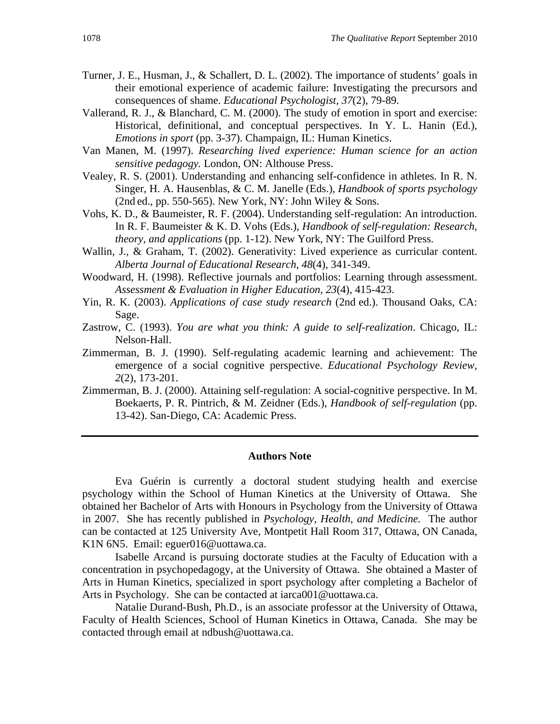- Turner, J. E., Husman, J., & Schallert, D. L. (2002). The importance of students' goals in their emotional experience of academic failure: Investigating the precursors and consequences of shame. *Educational Psychologist, 37*(2), 79-89.
- Vallerand, R. J., & Blanchard, C. M. (2000). The study of emotion in sport and exercise: Historical, definitional, and conceptual perspectives. In Y. L. Hanin (Ed.), *Emotions in sport* (pp. 3-37). Champaign, IL: Human Kinetics.
- Van Manen, M. (1997). *Researching lived experience: Human science for an action sensitive pedagogy.* London, ON: Althouse Press.
- Vealey, R. S. (2001). Understanding and enhancing self-confidence in athletes. In R. N. Singer, H. A. Hausenblas, & C. M. Janelle (Eds.), *Handbook of sports psychology*  (2nd ed., pp. 550-565). New York, NY: John Wiley  $&$  Sons.
- Vohs, K. D., & Baumeister, R. F. (2004). Understanding self-regulation: An introduction. In R. F. Baumeister & K. D. Vohs (Eds.), *Handbook of self-regulation: Research, theory, and applications* (pp. 1-12). New York, NY: The Guilford Press.
- Wallin, J., & Graham, T. (2002). Generativity: Lived experience as curricular content. *Alberta Journal of Educational Research, 48*(4), 341-349.
- Woodward, H. (1998). Reflective journals and portfolios: Learning through assessment. *Assessment & Evaluation in Higher Education, 23*(4), 415-423.
- Yin, R. K. (2003). *Applications of case study research* (2nd ed.). Thousand Oaks, CA: Sage.
- Zastrow, C. (1993). *You are what you think: A guide to self-realization*. Chicago, IL: Nelson-Hall.
- Zimmerman, B. J. (1990). Self-regulating academic learning and achievement: The emergence of a social cognitive perspective. *Educational Psychology Review, 2*(2), 173-201.
- Zimmerman, B. J. (2000). Attaining self-regulation: A social-cognitive perspective. In M. Boekaerts, P. R. Pintrich, & M. Zeidner (Eds.), *Handbook of self-regulation* (pp. 13-42). San-Diego, CA: Academic Press.

#### **Authors Note**

Eva Guérin is currently a doctoral student studying health and exercise psychology within the School of Human Kinetics at the University of Ottawa. She obtained her Bachelor of Arts with Honours in Psychology from the University of Ottawa in 2007. She has recently published in *Psychology, Health, and Medicine.* The author can be contacted at 125 University Ave, Montpetit Hall Room 317, Ottawa, ON Canada, K1N 6N5. Email: eguer016@uottawa.ca.

Isabelle Arcand is pursuing doctorate studies at the Faculty of Education with a concentration in psychopedagogy, at the University of Ottawa. She obtained a Master of Arts in Human Kinetics, specialized in sport psychology after completing a Bachelor of Arts in Psychology. She can be contacted at iarca001@uottawa.ca.

Natalie Durand-Bush, Ph.D., is an associate professor at the University of Ottawa, Faculty of Health Sciences, School of Human Kinetics in Ottawa, Canada. She may be contacted through email at ndbush@uottawa.ca.